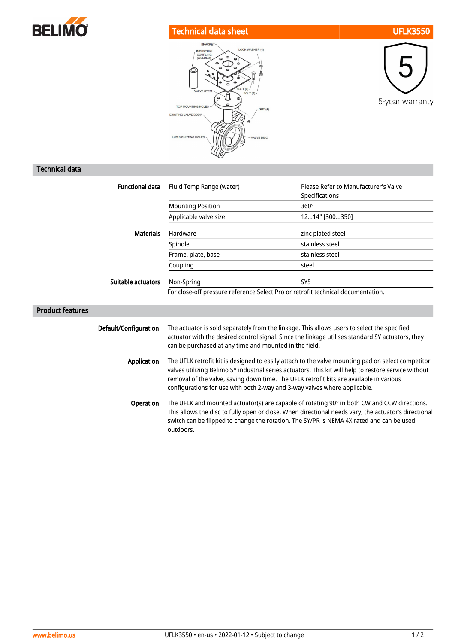

## Technical data sheet UFLK3550





## Technical data

| <b>Functional data</b>  | Fluid Temp Range (water)                                                                                                                                                                                                                                                                                                                                                           | Please Refer to Manufacturer's Valve<br>Specifications |
|-------------------------|------------------------------------------------------------------------------------------------------------------------------------------------------------------------------------------------------------------------------------------------------------------------------------------------------------------------------------------------------------------------------------|--------------------------------------------------------|
|                         | <b>Mounting Position</b>                                                                                                                                                                                                                                                                                                                                                           | $360^\circ$                                            |
|                         | Applicable valve size                                                                                                                                                                                                                                                                                                                                                              | 1214" [300350]                                         |
| <b>Materials</b>        | Hardware                                                                                                                                                                                                                                                                                                                                                                           | zinc plated steel                                      |
|                         | Spindle                                                                                                                                                                                                                                                                                                                                                                            | stainless steel                                        |
|                         | Frame, plate, base                                                                                                                                                                                                                                                                                                                                                                 | stainless steel                                        |
|                         | Coupling                                                                                                                                                                                                                                                                                                                                                                           | steel                                                  |
| Suitable actuators      | Non-Spring                                                                                                                                                                                                                                                                                                                                                                         | SY <sub>5</sub>                                        |
|                         | For close-off pressure reference Select Pro or retrofit technical documentation.                                                                                                                                                                                                                                                                                                   |                                                        |
| <b>Product features</b> |                                                                                                                                                                                                                                                                                                                                                                                    |                                                        |
|                         |                                                                                                                                                                                                                                                                                                                                                                                    |                                                        |
| Default/Configuration   | The actuator is sold separately from the linkage. This allows users to select the specified<br>actuator with the desired control signal. Since the linkage utilises standard SY actuators, they<br>can be purchased at any time and mounted in the field.                                                                                                                          |                                                        |
| Application             | The UFLK retrofit kit is designed to easily attach to the valve mounting pad on select competitor<br>valves utilizing Belimo SY industrial series actuators. This kit will help to restore service without<br>removal of the valve, saving down time. The UFLK retrofit kits are available in various<br>configurations for use with both 2-way and 3-way valves where applicable. |                                                        |
| Operation               | The UFLK and mounted actuator(s) are capable of rotating 90° in both CW and CCW directions.<br>This allows the disc to fully open or close. When directional needs vary, the actuator's directional<br>switch can be flipped to change the rotation. The SY/PR is NEMA 4X rated and can be used<br>outdoors.                                                                       |                                                        |